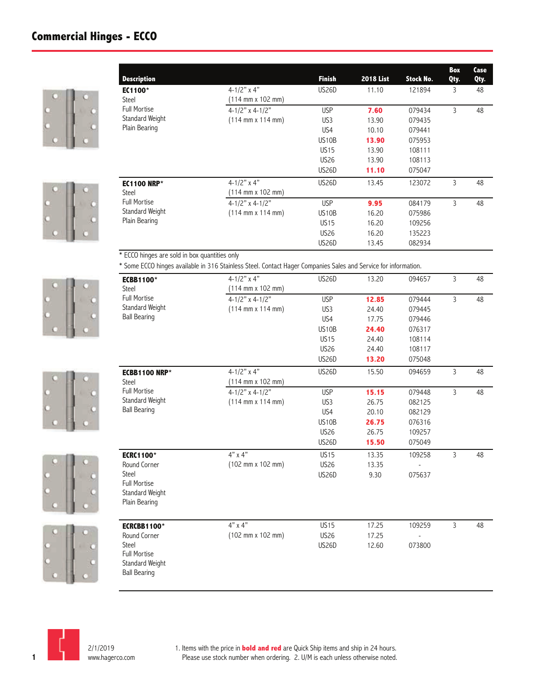## **Commercial Hinges - ECCO**













| <b>Description</b>                            |                                                                                                                 | <b>Finish</b>      | <b>2018 List</b> | <b>Stock No.</b> | Box<br>Qty. | Case<br>Qty. |
|-----------------------------------------------|-----------------------------------------------------------------------------------------------------------------|--------------------|------------------|------------------|-------------|--------------|
| EC1100*                                       | $4 - 1/2"$ x 4"                                                                                                 | <b>US26D</b>       | 11.10            | 121894           | 3           | 48           |
| Steel                                         | $(114 \, \text{mm} \times 102 \, \text{mm})$                                                                    |                    |                  |                  |             |              |
| <b>Full Mortise</b>                           | $4 - 1/2"$ x 4-1/2"                                                                                             | <b>USP</b>         | 7.60             | 079434           | 3           | 48           |
| Standard Weight                               | $(114 \text{ mm} \times 114 \text{ mm})$                                                                        | US <sub>3</sub>    | 13.90            | 079435           |             |              |
| Plain Bearing                                 |                                                                                                                 | US <sub>4</sub>    | 10.10            | 079441           |             |              |
|                                               |                                                                                                                 | US10B              | 13.90            | 075953           |             |              |
|                                               |                                                                                                                 | <b>US15</b>        | 13.90            | 108111           |             |              |
|                                               |                                                                                                                 | <b>US26</b>        | 13.90            | 108113           |             |              |
|                                               |                                                                                                                 | <b>US26D</b>       | 11.10            | 075047           |             |              |
| <b>EC1100 NRP*</b>                            | $4 - 1/2"$ x 4"                                                                                                 | US26D              | 13.45            | 123072           | 3           | 48           |
| Steel                                         | $(114 \text{ mm} \times 102 \text{ mm})$                                                                        |                    |                  |                  |             |              |
| <b>Full Mortise</b>                           | $4 - 1/2"$ x 4-1/2"                                                                                             | <b>USP</b>         | 9.95             | 084179           | 3           | 48           |
| Standard Weight                               | $(114 \text{ mm} \times 114 \text{ mm})$                                                                        | US <sub>10</sub> B | 16.20            | 075986           |             |              |
| Plain Bearing                                 |                                                                                                                 | <b>US15</b>        | 16.20            | 109256           |             |              |
|                                               |                                                                                                                 | <b>US26</b>        | 16.20            | 135223           |             |              |
|                                               |                                                                                                                 | US26D              | 13.45            | 082934           |             |              |
| * ECCO hinges are sold in box quantities only |                                                                                                                 |                    |                  |                  |             |              |
|                                               | * Some ECCO hinges available in 316 Stainless Steel. Contact Hager Companies Sales and Service for information. |                    |                  |                  |             |              |
| <b>ECBB1100*</b>                              | $4 - 1/2"$ x 4"                                                                                                 | <b>US26D</b>       | 13.20            | 094657           | 3           | 48           |
| Steel                                         | (114 mm x 102 mm)                                                                                               |                    |                  |                  |             |              |
| <b>Full Mortise</b>                           | $4 - 1/2"$ x 4-1/2"                                                                                             | <b>USP</b>         | 12.85            | 079444           | 3           | 48           |
|                                               |                                                                                                                 |                    |                  |                  |             |              |

| Steel                                                         | ( I I 4 mm x I O 2 mm)                                                    |             |                |                  |                |    |  |  |
|---------------------------------------------------------------|---------------------------------------------------------------------------|-------------|----------------|------------------|----------------|----|--|--|
| <b>Full Mortise</b><br>Standard Weight<br><b>Ball Bearing</b> | $4 - 1/2$ " x $4 - 1/2$ "<br>$(114 \, \text{mm} \times 114 \, \text{mm})$ | <b>USP</b>  | 12.85<br>24.40 | 079444<br>079445 | $\overline{3}$ | 48 |  |  |
|                                                               |                                                                           | US3<br>US4  |                |                  |                |    |  |  |
|                                                               |                                                                           |             | 17.75          | 079446           |                |    |  |  |
|                                                               |                                                                           | US10B       | 24.40          | 076317           |                |    |  |  |
|                                                               |                                                                           | <b>US15</b> | 24.40          | 108114           |                |    |  |  |
|                                                               |                                                                           | <b>US26</b> | 24.40          | 108117           |                |    |  |  |
|                                                               |                                                                           | US26D       | 13.20          | 075048           |                |    |  |  |
| <b>ECBB1100 NRP*</b>                                          | $4 - 1/2"$ x 4"                                                           | US26D       | 15.50          | 094659           | $\overline{3}$ | 48 |  |  |
| Steel                                                         | (114 mm x 102 mm)                                                         |             |                |                  |                |    |  |  |
| <b>Full Mortise</b>                                           | $4 - 1/2"$ x 4-1/2"                                                       | <b>USP</b>  | 15.15          | 079448           | $\overline{3}$ | 48 |  |  |
| Standard Weight                                               | $(114 \, \text{mm} \times 114 \, \text{mm})$                              | US3         | 26.75          | 082125           |                |    |  |  |
| <b>Ball Bearing</b>                                           |                                                                           | US4         | 20.10          | 082129           |                |    |  |  |
|                                                               |                                                                           | US10B       | 26.75          | 076316           |                |    |  |  |
|                                                               |                                                                           | <b>US26</b> | 26.75          | 109257           |                |    |  |  |
|                                                               |                                                                           | US26D       | 15.50          | 075049           |                |    |  |  |
| <b>ECRC1100*</b>                                              | $4" \times 4"$                                                            | <b>US15</b> | 13.35          | 109258           | 3              | 48 |  |  |
| Round Corner                                                  | (102 mm x 102 mm)                                                         | <b>US26</b> | 13.35          |                  |                |    |  |  |
| Steel                                                         |                                                                           | US26D       | 9.30           | 075637           |                |    |  |  |
| <b>Full Mortise</b>                                           |                                                                           |             |                |                  |                |    |  |  |
| Standard Weight                                               |                                                                           |             |                |                  |                |    |  |  |
| Plain Bearing                                                 |                                                                           |             |                |                  |                |    |  |  |
|                                                               |                                                                           |             |                |                  |                |    |  |  |
| <b>ECRCBB1100*</b>                                            | $4"$ x $4"$                                                               | <b>US15</b> | 17.25          | 109259           | 3              | 48 |  |  |
| Round Corner                                                  | (102 mm x 102 mm)                                                         | <b>US26</b> | 17.25          |                  |                |    |  |  |
| Steel                                                         |                                                                           | US26D       | 12.60          | 073800           |                |    |  |  |
| <b>Full Mortise</b>                                           |                                                                           |             |                |                  |                |    |  |  |
| Standard Weight                                               |                                                                           |             |                |                  |                |    |  |  |
| <b>Ball Bearing</b>                                           |                                                                           |             |                |                  |                |    |  |  |
|                                                               |                                                                           |             |                |                  |                |    |  |  |

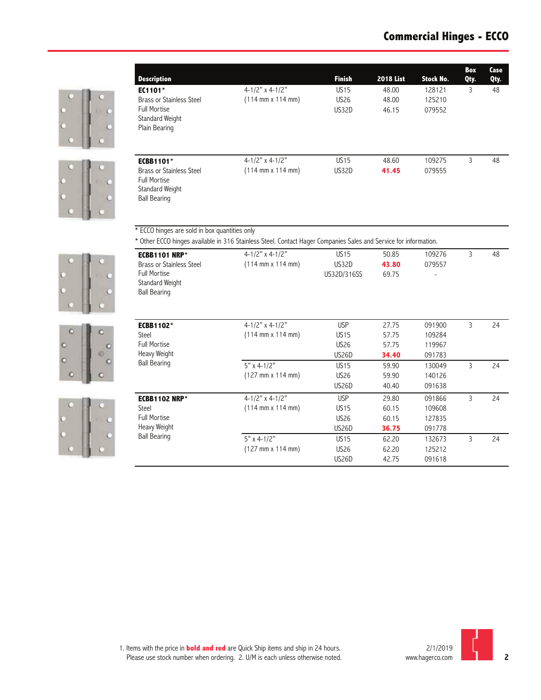



| <b>Description</b>                                                                        |                                                                                                                  | <b>Finish</b>    | <b>2018 List</b> | Stock No. | Box<br>Qty. | Case<br>Qty. |
|-------------------------------------------------------------------------------------------|------------------------------------------------------------------------------------------------------------------|------------------|------------------|-----------|-------------|--------------|
| EC1101*                                                                                   | $4 - 1/2"$ x 4-1/2"                                                                                              | <b>US15</b>      | 48.00            | 128121    | 3           | 48           |
| Brass or Stainless Steel                                                                  | $(114 \text{ mm} \times 114 \text{ mm})$                                                                         | <b>US26</b>      | 48.00            | 125210    |             |              |
| <b>Full Mortise</b><br>Standard Weight<br>Plain Bearing                                   |                                                                                                                  | US32D            | 46.15            | 079552    |             |              |
| <b>ECBB1101*</b>                                                                          | $4 - 1/2"$ x 4-1/2"                                                                                              | US <sub>15</sub> | 48.60            | 109275    | 3           | 48           |
| Brass or Stainless Steel<br><b>Full Mortise</b><br>Standard Weight<br><b>Ball Bearing</b> | $(114 \text{ mm} \times 114 \text{ mm})$                                                                         | US32D            | 41.45            | 079555    |             |              |
| * ECCO hinges are sold in box quantities only                                             | * Other ECCO hinges available in 316 Stainless Steel. Contact Hager Companies Sales and Service for information. |                  |                  |           |             |              |
| <b>ECBB1101 NRP*</b>                                                                      | $4 - 1/2"$ x 4-1/2"                                                                                              | <b>US15</b>      | 50.85            | 109276    | 3           | 48           |
| Brass or Stainless Steel                                                                  | $(114 \text{ mm} \times 114 \text{ mm})$                                                                         | US32D            | 43.80            | 079557    |             |              |

US32D/316SS 69.75



Full Mortise Standard Weight Ball Bearing





| <b>ECBB1102*</b><br>Steel           | $4 - 1/2"$ x 4-1/2"                          | <b>USP</b>         | 27.75 | 091900 | 3 | 24 |
|-------------------------------------|----------------------------------------------|--------------------|-------|--------|---|----|
|                                     | $(114 \text{ mm} \times 114 \text{ mm})$     | <b>US15</b>        | 57.75 | 109284 |   |    |
| <b>Full Mortise</b>                 |                                              | <b>US26</b>        | 57.75 | 119967 |   |    |
| Heavy Weight                        |                                              | US26D              | 34.40 | 091783 |   |    |
| <b>Ball Bearing</b>                 | 5" x 4-1/2"                                  | <b>US15</b>        | 59.90 | 130049 | 3 | 24 |
|                                     | $(127 \, \text{mm} \times 114 \, \text{mm})$ | <b>US26</b>        | 59.90 | 140126 |   |    |
|                                     |                                              | US26D              | 40.40 | 091638 |   |    |
| <b>ECBB1102 NRP*</b><br>Steel       | $4 - 1/2"$ x 4-1/2"                          | <b>USP</b>         | 29.80 | 091866 | 3 | 24 |
|                                     | $(114 \text{ mm} \times 114 \text{ mm})$     | <b>US15</b>        | 60.15 | 109608 |   |    |
| <b>Full Mortise</b>                 |                                              | <b>US26</b>        | 60.15 | 127835 |   |    |
| Heavy Weight<br><b>Ball Bearing</b> |                                              | US26D              | 36.75 | 091778 |   |    |
|                                     | $5"$ x 4-1/2"                                | <b>US15</b>        | 62.20 | 132673 | 3 | 24 |
|                                     | $(127 \, \text{mm} \times 114 \, \text{mm})$ | <b>US26</b>        | 62.20 | 125212 |   |    |
|                                     |                                              | US <sub>26</sub> D | 42.75 | 091618 |   |    |